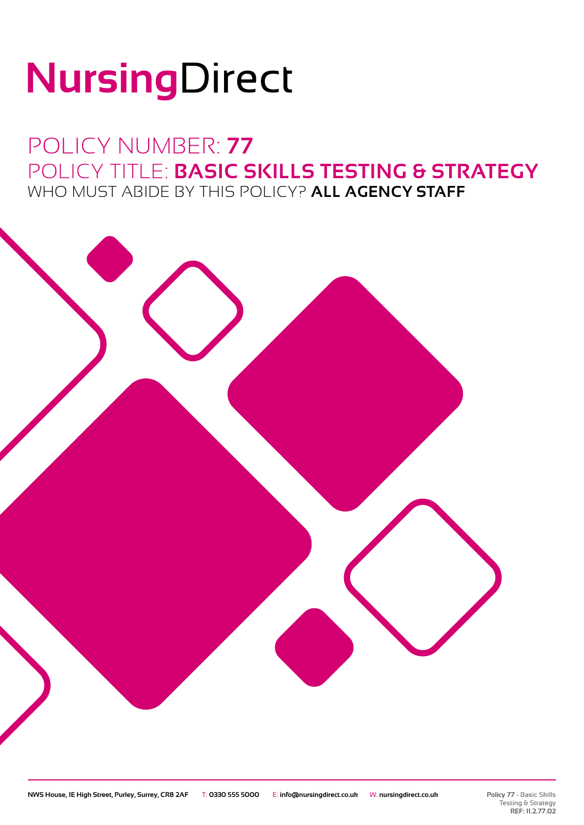# NursingDirect

# POLICY NUMBER: **77** POLICY TITLE: **BASIC SKILLS TESTING & STRATEGY** WHO MUST ABIDE BY THIS POLICY? **ALL AGENCY STAFF**

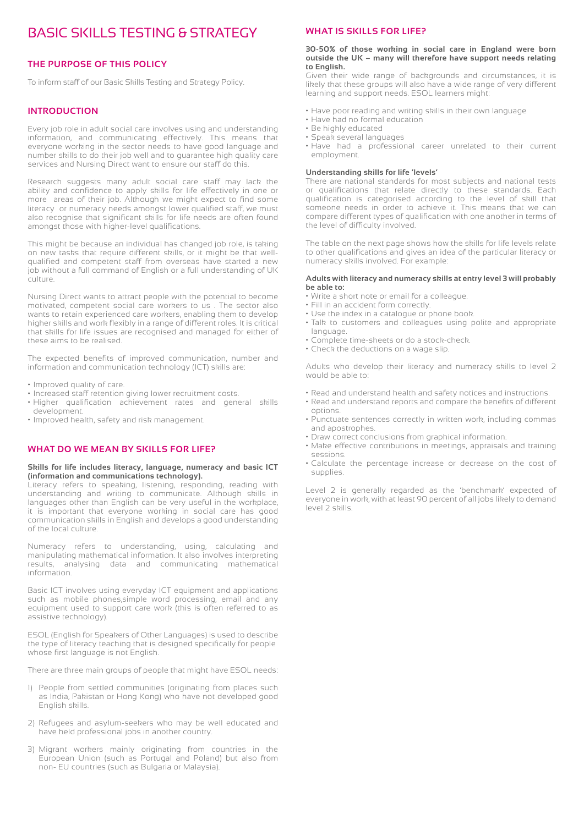# BASIC SKILLS TESTING & STRATEGY

## **THE PURPOSE OF THIS POLICY**

To inform staff of our Basic Skills Testing and Strategy Policy.

#### **INTRODUCTION**

Every job role in adult social care involves using and understanding information, and communicating effectively. This means that everyone working in the sector needs to have good language and number skills to do their job well and to guarantee high quality care services and Nursing Direct want to ensure our staff do this.

Research suggests many adult social care staff may lack the ability and confidence to apply skills for life effectively in one or more areas of their job. Although we might expect to find some literacy or numeracy needs amongst lower qualified staff, we must also recognise that significant skills for life needs are often found amongst those with higher-level qualifications.

This might be because an individual has changed job role, is taking on new tasks that require different skills, or it might be that wellqualified and competent staff from overseas have started a new job without a full command of English or a full understanding of UK culture.

Nursing Direct wants to attract people with the potential to become motivated, competent social care workers to us . The sector also wants to retain experienced care workers, enabling them to develop higher skills and work flexibly in a range of different roles. It is critical that skills for life issues are recognised and managed for either of these aims to be realised.

The expected benefits of improved communication, number and information and communication technology (ICT) skills are:

- Improved quality of care.
- Increased staff retention giving lower recruitment costs.
- Higher qualification achievement rates and general skills development.
- Improved health, safety and risk management.

# **WHAT DO WE MEAN BY SKILLS FOR LIFE?**

#### **Skills for life includes literacy, language, numeracy and basic ICT (information and communications technology).**

Literacy refers to speaking, listening, responding, reading with understanding and writing to communicate. Although skills in languages other than English can be very useful in the workplace, it is important that everyone working in social care has good communication skills in English and develops a good understanding of the local culture.

Numeracy refers to understanding, using, calculating and manipulating mathematical information. It also involves interpreting results, analysing data and communicating mathematical information.

Basic ICT involves using everyday ICT equipment and applications such as mobile phones,simple word processing, email and any equipment used to support care work (this is often referred to as assistive technology).

ESOL (English for Speakers of Other Languages) is used to describe the type of literacy teaching that is designed specifically for people whose first language is not English.

There are three main groups of people that might have ESOL needs:

- 1) People from settled communities (originating from places such as India, Pakistan or Hong Kong) who have not developed good English skills.
- 2) Refugees and asylum-seekers who may be well educated and have held professional jobs in another country.
- 3) Migrant workers mainly originating from countries in the European Union (such as Portugal and Poland) but also from non- EU countries (such as Bulgaria or Malaysia).

#### **WHAT IS SKILLS FOR LIFE?**

#### **30-50% of those working in social care in England were born outside the UK – many will therefore have support needs relating to English.**

Given their wide range of backgrounds and circumstances, it is likely that these groups will also have a wide range of very different learning and support needs. ESOL learners might:

- Have poor reading and writing skills in their own language
- Have had no formal education
- Be highly educated
- Speak several languages
- Have had a professional career unrelated to their current employment.

#### **Understanding skills for life 'levels'**

There are national standards for most subjects and national tests or qualifications that relate directly to these standards. Each qualification is categorised according to the level of skill that someone needs in order to achieve it. This means that we can compare different types of qualification with one another in terms of the level of difficulty involved.

The table on the next page shows how the skills for life levels relate to other qualifications and gives an idea of the particular literacy or numeracy skills involved. For example:

#### **Adults with literacy and numeracy skills at entry level 3 will probably be able to:**

- Write a short note or email for a colleague.
- Fill in an accident form correctly.
- Use the index in a catalogue or phone book.
- Talk to customers and colleagues using polite and appropriate language.
- Complete time-sheets or do a stock-check.
- Check the deductions on a wage slip.

Adults who develop their literacy and numeracy skills to level 2 would be able to:

- Read and understand health and safety notices and instructions.
- Read and understand reports and compare the benefits of different options.
- Punctuate sentences correctly in written work, including commas and apostrophes.
- Draw correct conclusions from graphical information.
- Make effective contributions in meetings, appraisals and training sessions.
- Calculate the percentage increase or decrease on the cost of supplies.

Level 2 is generally regarded as the 'benchmark' expected of everyone in work, with at least 90 percent of all jobs likely to demand level 2 skills.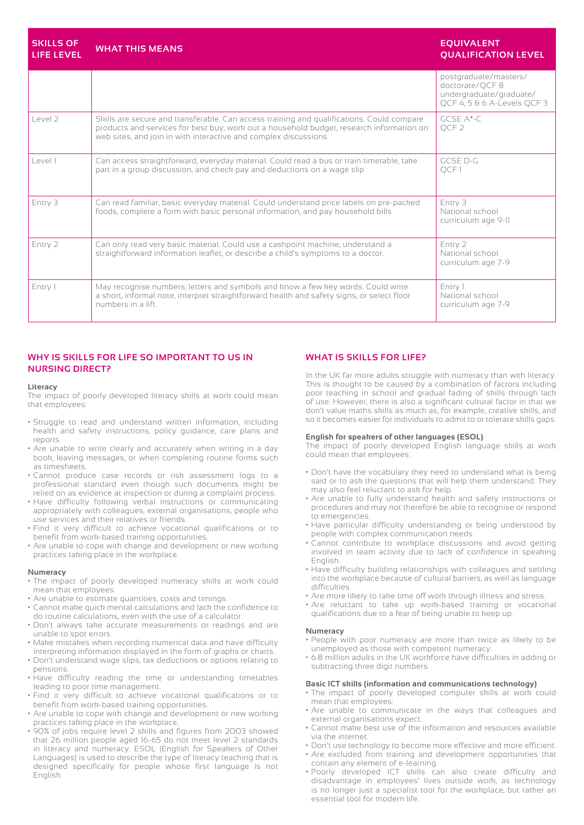| <b>SKILLS OF</b><br><b>LIFE LEVEL</b> | <b>WHAT THIS MEANS</b>                                                                                                                                                                                                                                   | <b>EQUIVALENT</b><br><b>QUALIFICATION LEVEL</b>                                                    |
|---------------------------------------|----------------------------------------------------------------------------------------------------------------------------------------------------------------------------------------------------------------------------------------------------------|----------------------------------------------------------------------------------------------------|
|                                       |                                                                                                                                                                                                                                                          | postgraduate/masters/<br>doctorate/QCF 8<br>undergraduate/graduate/<br>OCF 4, 5 & 6 A-Levels OCF 3 |
| level 2                               | Skills are secure and transferable. Can access training and qualifications. Could compare<br>products and services for best buy, work out a household budget, research information on<br>web sites, and join in with interactive and complex discussions | $GCSF$ $A*-C$<br>OCF <sub>2</sub>                                                                  |
| l evel l                              | Can access straightforward, everyday material. Could read a bus or train timetable, take<br>part in a group discussion, and check pay and deductions on a wage slip                                                                                      | GCSE D-G<br>QCF1                                                                                   |
| Entry 3                               | Can read familiar, basic everyday material. Could understand price labels on pre-packed<br>foods, complete a form with basic personal information, and pay household bills                                                                               | Entry 3<br>National school<br>curriculum age 9-11                                                  |
| Entry 2                               | Can only read very basic material. Could use a cashpoint machine, understand a<br>straightforward information leaflet, or describe a child's symptoms to a doctor.                                                                                       | Entry 2<br>National school<br>curriculum age 7-9                                                   |
| Entry 1                               | May recognise numbers, letters and symbols and know a few key words. Could write<br>a short, informal note, interpret straightforward health and safety signs, or select floor<br>numbers in a lift.                                                     | Entry 1<br>National school<br>curriculum age 7-9                                                   |

# **WHY IS SKILLS FOR LIFE SO IMPORTANT TO US IN NURSING DIRECT?**

#### **Literacy**

The impact of poorly developed literacy skills at work could mean that employees:

- Struggle to read and understand written information, including health and safety instructions, policy guidance, care plans and reports.
- Are unable to write clearly and accurately when writing in a day book, leaving messages, or when completing routine forms such as timesheets.
- Cannot produce case records or risk assessment logs to a professional standard even though such documents might be relied on as evidence at inspection or during a complaint process.
- Have difficulty following verbal instructions or communicating appropriately with colleagues, external organisations, people who use services and their relatives or friends.
- Find it very difficult to achieve vocational qualifications or to benefit from work-based training opportunities.
- Are unable to cope with change and development or new working practices taking place in the workplace.

#### **Numeracy**

- The impact of poorly developed numeracy skills at work could mean that employees:
- Are unable to estimate quantities, costs and timings.
- Cannot make quick mental calculations and lack the confidence to do routine calculations, even with the use of a calculator.
- Don't always take accurate measurements or readings and are unable to spot errors.
- Make mistakes when recording numerical data and have difficulty interpreting information displayed in the form of graphs or charts.
- Don't understand wage slips, tax deductions or options relating to pensions.
- Have difficulty reading the time or understanding timetables leading to poor time management.
- Find it very difficult to achieve vocational qualifications or to benefit from work-based training opportunities.
- Are unable to cope with change and development or new working practices taking place in the workplace.
- 90% of jobs require level 2 skills and figures from 2003 showed that 26 million people aged 16-65 do not meet level 2 standards in literacy and numeracy. ESOL (English for Speakers of Other Languages) is used to describe the type of literacy teaching that is designed specifically for people whose first language is not English.

### **WHAT IS SKILLS FOR LIFE?**

In the UK far more adults struggle with numeracy than with literacy. This is thought to be caused by a combination of factors including poor teaching in school and gradual fading of skills through lack of use. However, there is also a significant cultural factor in that we don't value maths skills as much as, for example, creative skills, and so it becomes easier for individuals to admit to or tolerate skills gaps.

#### **English for speakers of other languages (ESOL)**

The impact of poorly developed English language skills at work could mean that employees:

- Don't have the vocabulary they need to understand what is being said or to ask the questions that will help them understand. They may also feel reluctant to ask for help.
- Are unable to fully understand health and safety instructions or procedures and may not therefore be able to recognise or respond to emergencies.
- Have particular difficulty understanding or being understood by people with complex communication needs.
- Cannot contribute to workplace discussions and avoid getting involved in team activity due to lack of confidence in speaking English.
- Have difficulty building relationships with colleagues and settling into the workplace because of cultural barriers, as well as language difficulties.
- Are more likely to take time off work through illness and stress.
- Are reluctant to take up work-based training or vocational qualifications due to a fear of being unable to keep up.

#### **Numeracy**

- People with poor numeracy are more than twice as likely to be unemployed as those with competent numeracy.
- 6.8 million adults in the UK workforce have difficulties in adding or subtracting three digit numbers.

#### **Basic ICT skills (information and communications technology)**

- The impact of poorly developed computer skills at work could mean that employees:
- Are unable to communicate in the ways that colleagues and external organisations expect.
- Cannot make best use of the information and resources available via the internet.
- Don't use technology to become more effective and more efficient.
- Are excluded from training and development opportunities that contain any element of e-learning.
- Poorly developed ICT skills can also create difficulty and disadvantage in employees' lives outside work, as technology is no longer just a specialist tool for the workplace, but rather an essential tool for modern life.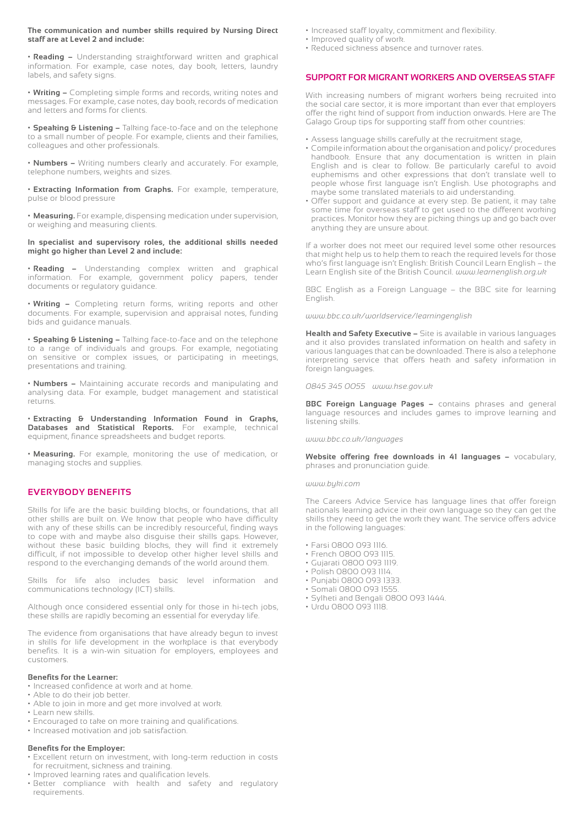#### **The communication and number skills required by Nursing Direct staff are at Level 2 and include:**

**• Reading –** Understanding straightforward written and graphical information. For example, case notes, day book, letters, laundry labels, and safety signs.

**• Writing –** Completing simple forms and records, writing notes and messages. For example, case notes, day book, records of medication and letters and forms for clients.

**• Speaking & Listening –** Talking face-to-face and on the telephone to a small number of people. For example, clients and their families, colleagues and other professionals.

**• Numbers –** Writing numbers clearly and accurately. For example, telephone numbers, weights and sizes.

**• Extracting Information from Graphs.** For example, temperature, pulse or blood pressure

**• Measuring.** For example, dispensing medication under supervision, or weighing and measuring clients.

**In specialist and supervisory roles, the additional skills needed might go higher than Level 2 and include:**

**• Reading –** Understanding complex written and graphical information. For example, government policy papers, tender documents or regulatory guidance.

**• Writing –** Completing return forms, writing reports and other documents. For example, supervision and appraisal notes, funding bids and guidance manuals.

**• Speaking & Listening –** Talking face-to-face and on the telephone to a range of individuals and groups. For example, negotiating on sensitive or complex issues, or participating in meetings, presentations and training.

**• Numbers –** Maintaining accurate records and manipulating and analysing data. For example, budget management and statistical returns.

**• Extracting & Understanding Information Found in Graphs, Databases and Statistical Reports.** For example, technical equipment, finance spreadsheets and budget reports.

**• Measuring.** For example, monitoring the use of medication, or managing stocks and supplies.

## **EVERYBODY BENEFITS**

Skills for life are the basic building blocks, or foundations, that all other skills are built on. We know that people who have difficulty with any of these skills can be incredibly resourceful, finding ways to cope with and maybe also disguise their skills gaps. However, without these basic building blocks, they will find it extremely difficult, if not impossible to develop other higher level skills and respond to the everchanging demands of the world around them.

Skills for life also includes basic level information and communications technology (ICT) skills.

Although once considered essential only for those in hi-tech jobs, these skills are rapidly becoming an essential for everyday life.

The evidence from organisations that have already begun to invest in skills for life development in the workplace is that everybody benefits. It is a win-win situation for employers, employees and customers.

#### **Benefits for the Learner:**

• Increased confidence at work and at home.

- Able to do their job better.
- Able to join in more and get more involved at work.
- Learn new skills.
- Encouraged to take on more training and qualifications.
- Increased motivation and job satisfaction.

#### **Benefits for the Employer:**

- Excellent return on investment, with long-term reduction in costs for recruitment, sickness and training.
- Improved learning rates and qualification levels.
- Better compliance with health and safety and regulatory requirements.
- Increased staff loyalty, commitment and flexibility.
- Improved quality of work.
- Reduced sickness absence and turnover rates.

#### **SUPPORT FOR MIGRANT WORKERS AND OVERSEAS STAFF**

With increasing numbers of migrant workers being recruited into the social care sector, it is more important than ever that employers offer the right kind of support from induction onwards. Here are The Galago Group tips for supporting staff from other countries:

- Assess language skills carefully at the recruitment stage,
- Compile information about the organisation and policy/ procedures handbook. Ensure that any documentation is written in plain English and is clear to follow. Be particularly careful to avoid euphemisms and other expressions that don't translate well to people whose first language isn't English. Use photographs and maybe some translated materials to aid understanding.
- Offer support and guidance at every step. Be patient, it may take some time for overseas staff to get used to the different working practices. Monitor how they are picking things up and go back over anything they are unsure about.

If a worker does not meet our required level some other resources that might help us to help them to reach the required levels for those who's first language isn't English: British Council Learn English – the Learn English site of the British Council. *www.learnenglish.org.uk*

BBC English as a Foreign Language – the BBC site for learning English.

*www.bbc.co.uk/worldservice/learningenglish*

**Health and Safety Executive –** Site is available in various languages and it also provides translated information on health and safety in various languages that can be downloaded. There is also a telephone interpreting service that offers heath and safety information in foreign languages.

*0845 345 0055 www.hse.gov.uk*

**BBC Foreign Language Pages –** contains phrases and general language resources and includes games to improve learning and listening skills.

*www.bbc.co.uk/languages*

**Website offering free downloads in 41 languages –** vocabulary, phrases and pronunciation guide.

#### *www.byki.com*

The Careers Advice Service has language lines that offer foreign nationals learning advice in their own language so they can get the skills they need to get the work they want. The service offers advice in the following languages:

- Farsi 0800 093 1116.
- French 0800 093 1115.
- Gujarati 0800 093 1119.
- Polish 0800 093 1114.
- Punjabi 0800 093 1333.
- Somali 0800 093 1555.
- Sylheti and Bengali 0800 093 1444.
- Urdu 0800 093 1118.